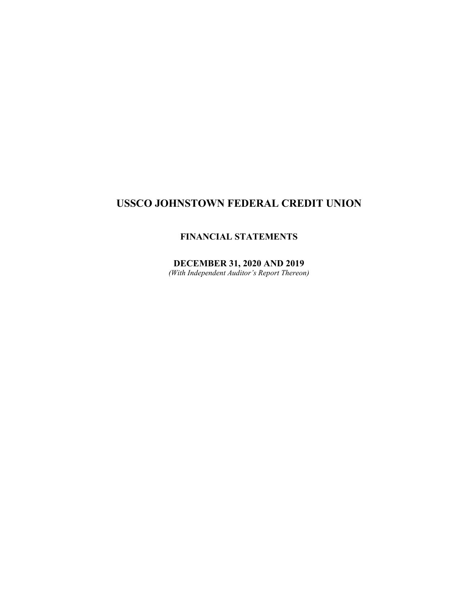## **FINANCIAL STATEMENTS**

**DECEMBER 31, 2020 AND 2019**

*(With Independent Auditor's Report Thereon)*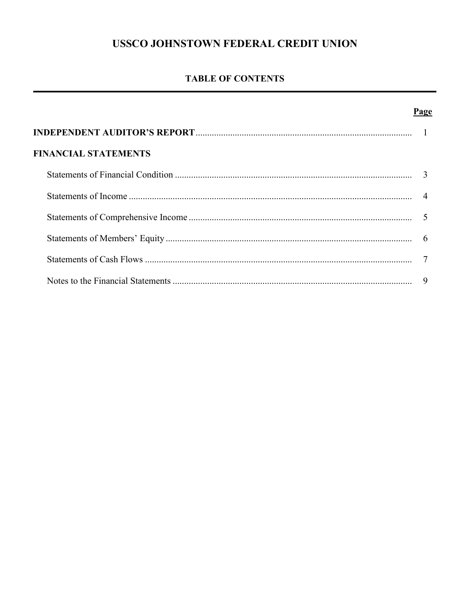## **TABLE OF CONTENTS**

|                             | Page |
|-----------------------------|------|
|                             |      |
| <b>FINANCIAL STATEMENTS</b> |      |
|                             |      |
|                             |      |
|                             |      |
|                             |      |
|                             |      |
|                             | 9    |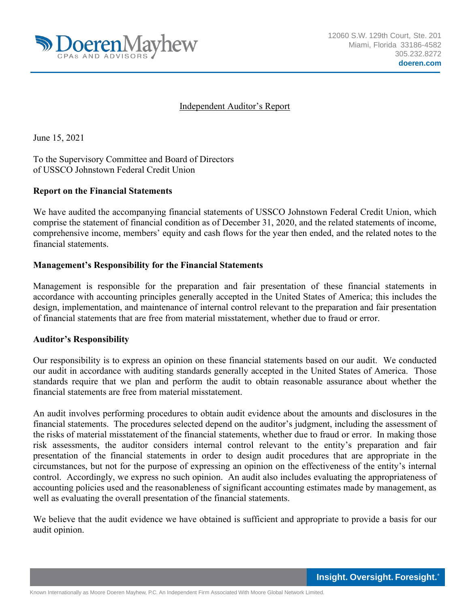

Independent Auditor's Report

June 15, 2021

To the Supervisory Committee and Board of Directors of USSCO Johnstown Federal Credit Union

#### **Report on the Financial Statements**

We have audited the accompanying financial statements of USSCO Johnstown Federal Credit Union, which comprise the statement of financial condition as of December 31, 2020, and the related statements of income, comprehensive income, members' equity and cash flows for the year then ended, and the related notes to the financial statements.

### **Management's Responsibility for the Financial Statements**

Management is responsible for the preparation and fair presentation of these financial statements in accordance with accounting principles generally accepted in the United States of America; this includes the design, implementation, and maintenance of internal control relevant to the preparation and fair presentation of financial statements that are free from material misstatement, whether due to fraud or error.

#### **Auditor's Responsibility**

Our responsibility is to express an opinion on these financial statements based on our audit. We conducted our audit in accordance with auditing standards generally accepted in the United States of America. Those standards require that we plan and perform the audit to obtain reasonable assurance about whether the financial statements are free from material misstatement.

An audit involves performing procedures to obtain audit evidence about the amounts and disclosures in the financial statements. The procedures selected depend on the auditor's judgment, including the assessment of the risks of material misstatement of the financial statements, whether due to fraud or error. In making those risk assessments, the auditor considers internal control relevant to the entity's preparation and fair presentation of the financial statements in order to design audit procedures that are appropriate in the circumstances, but not for the purpose of expressing an opinion on the effectiveness of the entity's internal control. Accordingly, we express no such opinion. An audit also includes evaluating the appropriateness of accounting policies used and the reasonableness of significant accounting estimates made by management, as well as evaluating the overall presentation of the financial statements.

We believe that the audit evidence we have obtained is sufficient and appropriate to provide a basis for our audit opinion.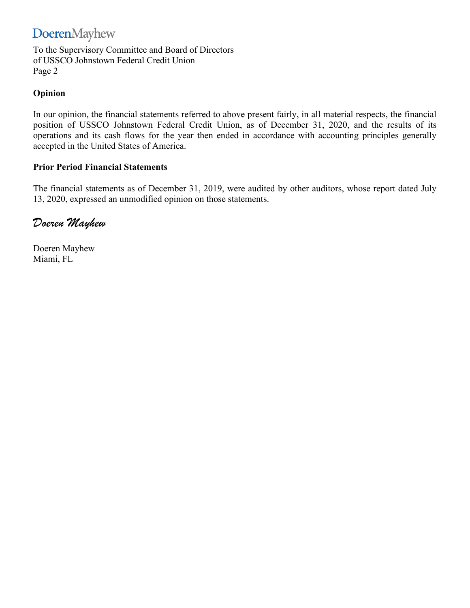# DoerenMayhew

To the Supervisory Committee and Board of Directors of USSCO Johnstown Federal Credit Union Page 2

## **Opinion**

In our opinion, the financial statements referred to above present fairly, in all material respects, the financial position of USSCO Johnstown Federal Credit Union, as of December 31, 2020, and the results of its operations and its cash flows for the year then ended in accordance with accounting principles generally accepted in the United States of America.

## **Prior Period Financial Statements**

The financial statements as of December 31, 2019, were audited by other auditors, whose report dated July 13, 2020, expressed an unmodified opinion on those statements.

*Doeren Mayhew* 

Doeren Mayhew Miami, FL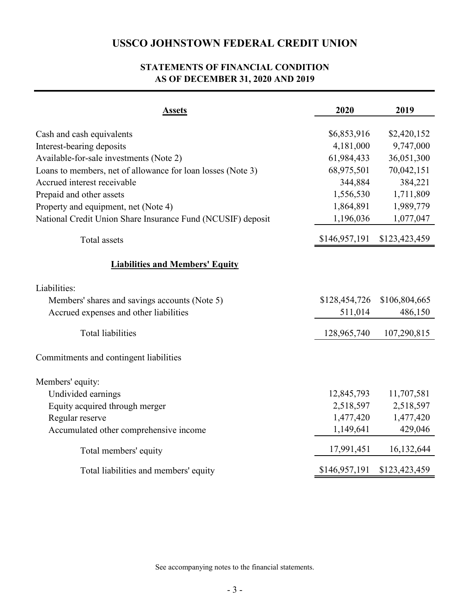## **STATEMENTS OF FINANCIAL CONDITION AS OF DECEMBER 31, 2020 AND 2019**

| <b>Assets</b>                                               | 2020          | 2019          |
|-------------------------------------------------------------|---------------|---------------|
| Cash and cash equivalents                                   | \$6,853,916   | \$2,420,152   |
| Interest-bearing deposits                                   | 4,181,000     | 9,747,000     |
| Available-for-sale investments (Note 2)                     | 61,984,433    | 36,051,300    |
| Loans to members, net of allowance for loan losses (Note 3) | 68,975,501    | 70,042,151    |
| Accrued interest receivable                                 | 344,884       | 384,221       |
| Prepaid and other assets                                    | 1,556,530     | 1,711,809     |
| Property and equipment, net (Note 4)                        | 1,864,891     | 1,989,779     |
| National Credit Union Share Insurance Fund (NCUSIF) deposit | 1,196,036     | 1,077,047     |
| Total assets                                                | \$146,957,191 | \$123,423,459 |
| <b>Liabilities and Members' Equity</b>                      |               |               |
| Liabilities:                                                |               |               |
| Members' shares and savings accounts (Note 5)               | \$128,454,726 | \$106,804,665 |
| Accrued expenses and other liabilities                      | 511,014       | 486,150       |
| <b>Total liabilities</b>                                    | 128,965,740   | 107,290,815   |
| Commitments and contingent liabilities                      |               |               |
| Members' equity:                                            |               |               |
| Undivided earnings                                          | 12,845,793    | 11,707,581    |
| Equity acquired through merger                              | 2,518,597     | 2,518,597     |
| Regular reserve                                             | 1,477,420     | 1,477,420     |
| Accumulated other comprehensive income                      | 1,149,641     | 429,046       |
| Total members' equity                                       | 17,991,451    | 16,132,644    |
| Total liabilities and members' equity                       | \$146,957,191 | \$123,423,459 |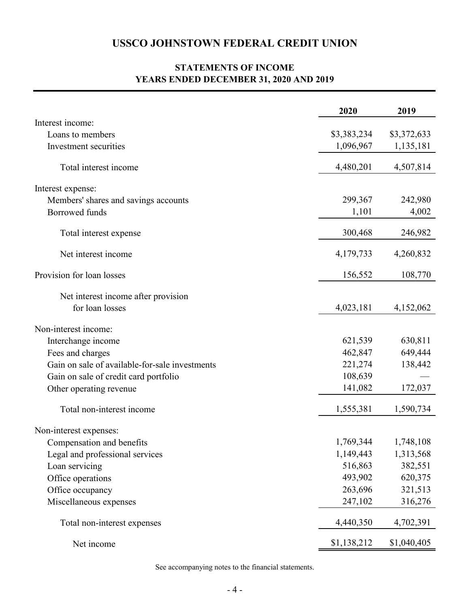## **STATEMENTS OF INCOME YEARS ENDED DECEMBER 31, 2020 AND 2019**

|                                                | 2020        | 2019        |
|------------------------------------------------|-------------|-------------|
| Interest income:                               |             |             |
| Loans to members                               | \$3,383,234 | \$3,372,633 |
| Investment securities                          | 1,096,967   | 1,135,181   |
| Total interest income                          | 4,480,201   | 4,507,814   |
| Interest expense:                              |             |             |
| Members' shares and savings accounts           | 299,367     | 242,980     |
| <b>Borrowed</b> funds                          | 1,101       | 4,002       |
| Total interest expense                         | 300,468     | 246,982     |
| Net interest income                            | 4,179,733   | 4,260,832   |
| Provision for loan losses                      | 156,552     | 108,770     |
| Net interest income after provision            |             |             |
| for loan losses                                | 4,023,181   | 4,152,062   |
| Non-interest income:                           |             |             |
| Interchange income                             | 621,539     | 630,811     |
| Fees and charges                               | 462,847     | 649,444     |
| Gain on sale of available-for-sale investments | 221,274     | 138,442     |
| Gain on sale of credit card portfolio          | 108,639     |             |
| Other operating revenue                        | 141,082     | 172,037     |
| Total non-interest income                      | 1,555,381   | 1,590,734   |
| Non-interest expenses:                         |             |             |
| Compensation and benefits                      | 1,769,344   | 1,748,108   |
| Legal and professional services                | 1,149,443   | 1,313,568   |
| Loan servicing                                 | 516,863     | 382,551     |
| Office operations                              | 493,902     | 620,375     |
| Office occupancy                               | 263,696     | 321,513     |
| Miscellaneous expenses                         | 247,102     | 316,276     |
| Total non-interest expenses                    | 4,440,350   | 4,702,391   |
| Net income                                     | \$1,138,212 | \$1,040,405 |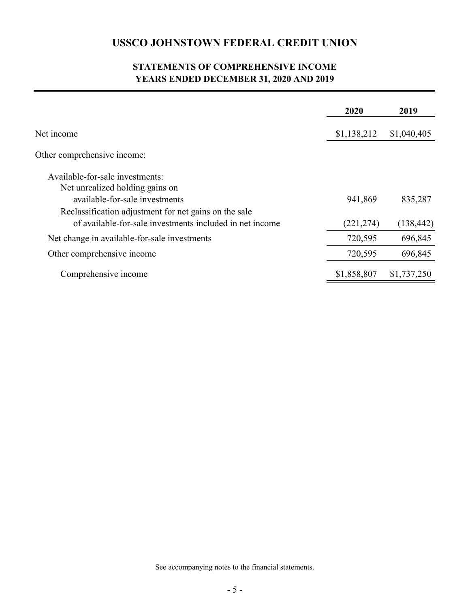## **STATEMENTS OF COMPREHENSIVE INCOME YEARS ENDED DECEMBER 31, 2020 AND 2019**

|                                                          | 2020        | 2019        |
|----------------------------------------------------------|-------------|-------------|
| Net income                                               | \$1,138,212 | \$1,040,405 |
| Other comprehensive income:                              |             |             |
| Available-for-sale investments:                          |             |             |
| Net unrealized holding gains on                          |             |             |
| available-for-sale investments                           | 941,869     | 835,287     |
| Reclassification adjustment for net gains on the sale    |             |             |
| of available-for-sale investments included in net income | (221,274)   | (138, 442)  |
| Net change in available-for-sale investments             | 720,595     | 696,845     |
| Other comprehensive income                               | 720,595     | 696,845     |
| Comprehensive income                                     | \$1,858,807 | \$1,737,250 |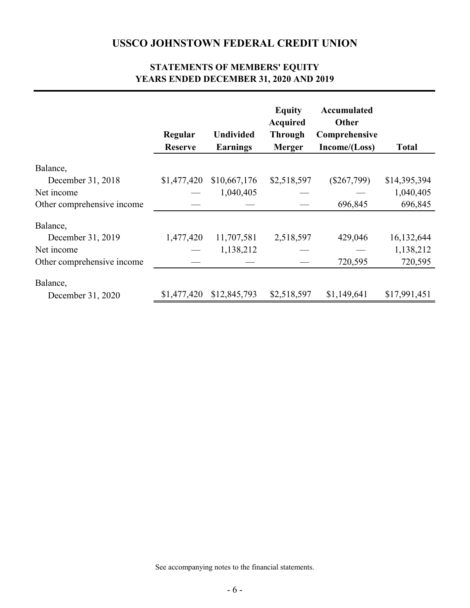## **STATEMENTS OF MEMBERS' EQUITY YEARS ENDED DECEMBER 31, 2020 AND 2019**

|                            | Regular<br><b>Reserve</b> | <b>Undivided</b><br><b>Earnings</b> | <b>Equity</b><br>Acquired<br><b>Through</b><br>Merger | Accumulated<br>Other<br>Comprehensive<br>Income/(Loss) | <b>Total</b> |
|----------------------------|---------------------------|-------------------------------------|-------------------------------------------------------|--------------------------------------------------------|--------------|
|                            |                           |                                     |                                                       |                                                        |              |
| Balance,                   |                           |                                     |                                                       |                                                        |              |
| December 31, 2018          | \$1,477,420               | \$10,667,176                        | \$2,518,597                                           | $(\$267,799)$                                          | \$14,395,394 |
| Net income                 |                           | 1,040,405                           |                                                       |                                                        | 1,040,405    |
| Other comprehensive income |                           |                                     |                                                       | 696,845                                                | 696,845      |
| Balance,                   |                           |                                     |                                                       |                                                        |              |
| December 31, 2019          | 1,477,420                 | 11,707,581                          | 2,518,597                                             | 429,046                                                | 16,132,644   |
| Net income                 |                           | 1,138,212                           |                                                       |                                                        | 1,138,212    |
| Other comprehensive income |                           |                                     |                                                       | 720,595                                                | 720,595      |
| Balance,                   |                           |                                     |                                                       |                                                        |              |
| December 31, 2020          | \$1,477,420               | \$12,845,793                        | \$2,518,597                                           | \$1,149,641                                            | \$17,991,451 |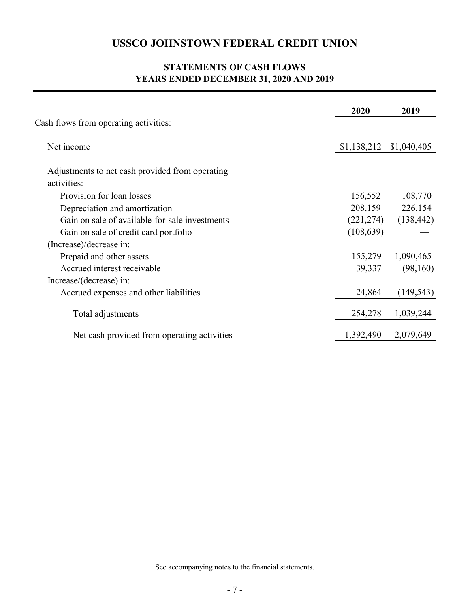## **STATEMENTS OF CASH FLOWS YEARS ENDED DECEMBER 31, 2020 AND 2019**

|                                                 | 2020        | 2019        |
|-------------------------------------------------|-------------|-------------|
| Cash flows from operating activities:           |             |             |
| Net income                                      | \$1,138,212 | \$1,040,405 |
| Adjustments to net cash provided from operating |             |             |
| activities:                                     |             |             |
| Provision for loan losses                       | 156,552     | 108,770     |
| Depreciation and amortization                   | 208,159     | 226,154     |
| Gain on sale of available-for-sale investments  | (221, 274)  | (138, 442)  |
| Gain on sale of credit card portfolio           | (108, 639)  |             |
| (Increase)/decrease in:                         |             |             |
| Prepaid and other assets                        | 155,279     | 1,090,465   |
| Accrued interest receivable                     | 39,337      | (98,160)    |
| Increase/(decrease) in:                         |             |             |
| Accrued expenses and other liabilities          | 24,864      | (149, 543)  |
| Total adjustments                               | 254,278     | 1,039,244   |
| Net cash provided from operating activities     | 1,392,490   | 2,079,649   |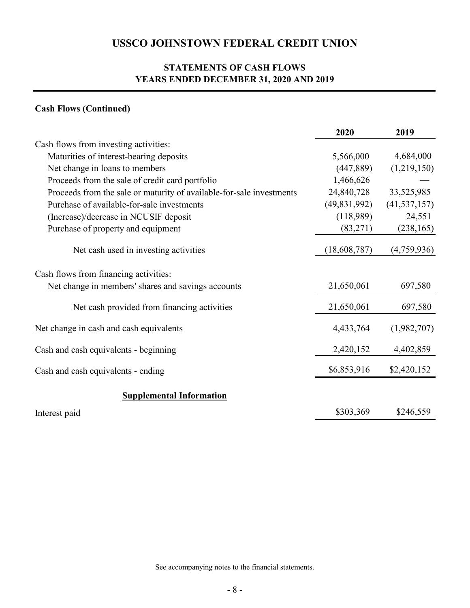## **STATEMENTS OF CASH FLOWS YEARS ENDED DECEMBER 31, 2020 AND 2019**

## **Cash Flows (Continued)**

|                                                                      | 2020           | 2019           |
|----------------------------------------------------------------------|----------------|----------------|
| Cash flows from investing activities:                                |                |                |
| Maturities of interest-bearing deposits                              | 5,566,000      | 4,684,000      |
| Net change in loans to members                                       | (447, 889)     | (1,219,150)    |
| Proceeds from the sale of credit card portfolio                      | 1,466,626      |                |
| Proceeds from the sale or maturity of available-for-sale investments | 24,840,728     | 33,525,985     |
| Purchase of available-for-sale investments                           | (49, 831, 992) | (41, 537, 157) |
| (Increase)/decrease in NCUSIF deposit                                | (118,989)      | 24,551         |
| Purchase of property and equipment                                   | (83,271)       | (238, 165)     |
| Net cash used in investing activities                                | (18,608,787)   | (4,759,936)    |
| Cash flows from financing activities:                                |                |                |
| Net change in members' shares and savings accounts                   | 21,650,061     | 697,580        |
| Net cash provided from financing activities                          | 21,650,061     | 697,580        |
| Net change in cash and cash equivalents                              | 4,433,764      | (1,982,707)    |
| Cash and cash equivalents - beginning                                | 2,420,152      | 4,402,859      |
| Cash and cash equivalents - ending                                   | \$6,853,916    | \$2,420,152    |
| <b>Supplemental Information</b>                                      |                |                |
| Interest paid                                                        | \$303,369      | \$246,559      |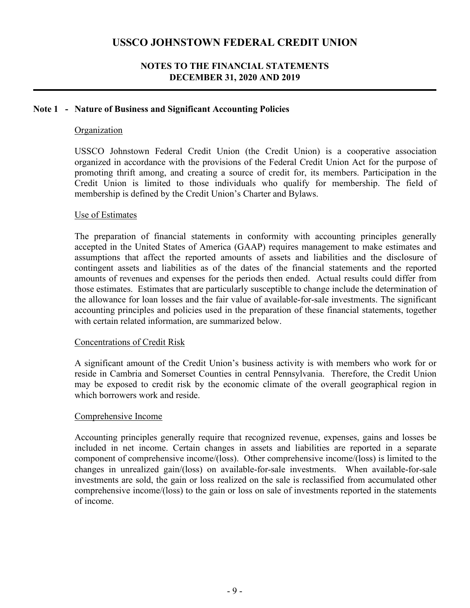## **NOTES TO THE FINANCIAL STATEMENTS DECEMBER 31, 2020 AND 2019**

#### **Note 1 - Nature of Business and Significant Accounting Policies**

#### Organization

USSCO Johnstown Federal Credit Union (the Credit Union) is a cooperative association organized in accordance with the provisions of the Federal Credit Union Act for the purpose of promoting thrift among, and creating a source of credit for, its members. Participation in the Credit Union is limited to those individuals who qualify for membership. The field of membership is defined by the Credit Union's Charter and Bylaws.

#### Use of Estimates

The preparation of financial statements in conformity with accounting principles generally accepted in the United States of America (GAAP) requires management to make estimates and assumptions that affect the reported amounts of assets and liabilities and the disclosure of contingent assets and liabilities as of the dates of the financial statements and the reported amounts of revenues and expenses for the periods then ended. Actual results could differ from those estimates. Estimates that are particularly susceptible to change include the determination of the allowance for loan losses and the fair value of available-for-sale investments. The significant accounting principles and policies used in the preparation of these financial statements, together with certain related information, are summarized below.

#### Concentrations of Credit Risk

A significant amount of the Credit Union's business activity is with members who work for or reside in Cambria and Somerset Counties in central Pennsylvania. Therefore, the Credit Union may be exposed to credit risk by the economic climate of the overall geographical region in which borrowers work and reside.

#### Comprehensive Income

Accounting principles generally require that recognized revenue, expenses, gains and losses be included in net income. Certain changes in assets and liabilities are reported in a separate component of comprehensive income/(loss). Other comprehensive income/(loss) is limited to the changes in unrealized gain/(loss) on available-for-sale investments. When available-for-sale investments are sold, the gain or loss realized on the sale is reclassified from accumulated other comprehensive income/(loss) to the gain or loss on sale of investments reported in the statements of income.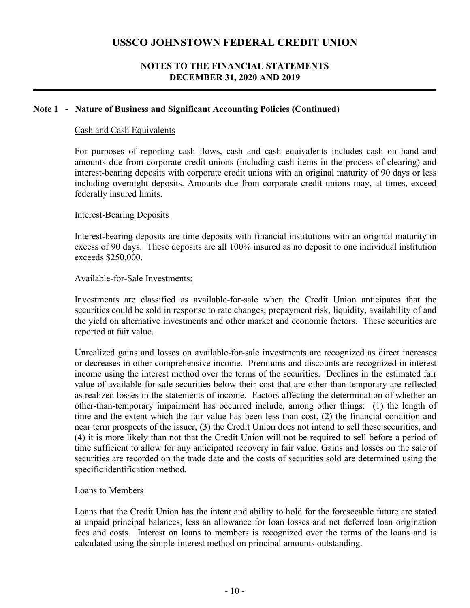## **NOTES TO THE FINANCIAL STATEMENTS DECEMBER 31, 2020 AND 2019**

### **Note 1 - Nature of Business and Significant Accounting Policies (Continued)**

#### Cash and Cash Equivalents

For purposes of reporting cash flows, cash and cash equivalents includes cash on hand and amounts due from corporate credit unions (including cash items in the process of clearing) and interest-bearing deposits with corporate credit unions with an original maturity of 90 days or less including overnight deposits. Amounts due from corporate credit unions may, at times, exceed federally insured limits.

### Interest-Bearing Deposits

Interest-bearing deposits are time deposits with financial institutions with an original maturity in excess of 90 days. These deposits are all 100% insured as no deposit to one individual institution exceeds \$250,000.

#### Available-for-Sale Investments:

Investments are classified as available-for-sale when the Credit Union anticipates that the securities could be sold in response to rate changes, prepayment risk, liquidity, availability of and the yield on alternative investments and other market and economic factors. These securities are reported at fair value.

Unrealized gains and losses on available-for-sale investments are recognized as direct increases or decreases in other comprehensive income. Premiums and discounts are recognized in interest income using the interest method over the terms of the securities. Declines in the estimated fair value of available-for-sale securities below their cost that are other-than-temporary are reflected as realized losses in the statements of income. Factors affecting the determination of whether an other-than-temporary impairment has occurred include, among other things: (1) the length of time and the extent which the fair value has been less than cost, (2) the financial condition and near term prospects of the issuer, (3) the Credit Union does not intend to sell these securities, and (4) it is more likely than not that the Credit Union will not be required to sell before a period of time sufficient to allow for any anticipated recovery in fair value. Gains and losses on the sale of securities are recorded on the trade date and the costs of securities sold are determined using the specific identification method.

#### Loans to Members

Loans that the Credit Union has the intent and ability to hold for the foreseeable future are stated at unpaid principal balances, less an allowance for loan losses and net deferred loan origination fees and costs. Interest on loans to members is recognized over the terms of the loans and is calculated using the simple-interest method on principal amounts outstanding.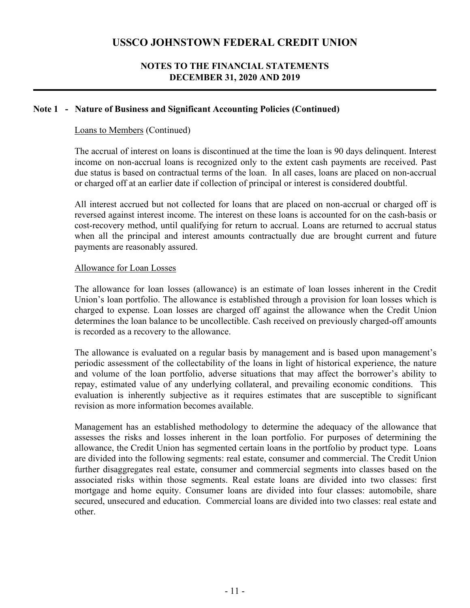### **NOTES TO THE FINANCIAL STATEMENTS DECEMBER 31, 2020 AND 2019**

#### **Note 1 - Nature of Business and Significant Accounting Policies (Continued)**

#### Loans to Members (Continued)

The accrual of interest on loans is discontinued at the time the loan is 90 days delinquent. Interest income on non-accrual loans is recognized only to the extent cash payments are received. Past due status is based on contractual terms of the loan. In all cases, loans are placed on non-accrual or charged off at an earlier date if collection of principal or interest is considered doubtful.

All interest accrued but not collected for loans that are placed on non-accrual or charged off is reversed against interest income. The interest on these loans is accounted for on the cash-basis or cost-recovery method, until qualifying for return to accrual. Loans are returned to accrual status when all the principal and interest amounts contractually due are brought current and future payments are reasonably assured.

#### Allowance for Loan Losses

The allowance for loan losses (allowance) is an estimate of loan losses inherent in the Credit Union's loan portfolio. The allowance is established through a provision for loan losses which is charged to expense. Loan losses are charged off against the allowance when the Credit Union determines the loan balance to be uncollectible. Cash received on previously charged-off amounts is recorded as a recovery to the allowance.

The allowance is evaluated on a regular basis by management and is based upon management's periodic assessment of the collectability of the loans in light of historical experience, the nature and volume of the loan portfolio, adverse situations that may affect the borrower's ability to repay, estimated value of any underlying collateral, and prevailing economic conditions. This evaluation is inherently subjective as it requires estimates that are susceptible to significant revision as more information becomes available.

Management has an established methodology to determine the adequacy of the allowance that assesses the risks and losses inherent in the loan portfolio. For purposes of determining the allowance, the Credit Union has segmented certain loans in the portfolio by product type. Loans are divided into the following segments: real estate, consumer and commercial. The Credit Union further disaggregates real estate, consumer and commercial segments into classes based on the associated risks within those segments. Real estate loans are divided into two classes: first mortgage and home equity. Consumer loans are divided into four classes: automobile, share secured, unsecured and education. Commercial loans are divided into two classes: real estate and other.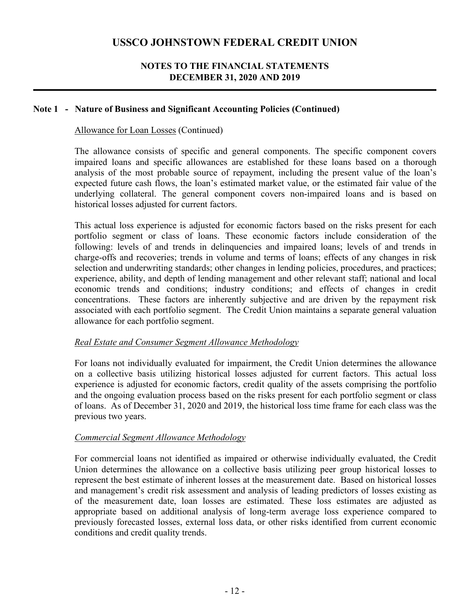### **NOTES TO THE FINANCIAL STATEMENTS DECEMBER 31, 2020 AND 2019**

#### **Note 1 - Nature of Business and Significant Accounting Policies (Continued)**

#### Allowance for Loan Losses (Continued)

The allowance consists of specific and general components. The specific component covers impaired loans and specific allowances are established for these loans based on a thorough analysis of the most probable source of repayment, including the present value of the loan's expected future cash flows, the loan's estimated market value, or the estimated fair value of the underlying collateral. The general component covers non-impaired loans and is based on historical losses adjusted for current factors.

This actual loss experience is adjusted for economic factors based on the risks present for each portfolio segment or class of loans. These economic factors include consideration of the following: levels of and trends in delinquencies and impaired loans; levels of and trends in charge-offs and recoveries; trends in volume and terms of loans; effects of any changes in risk selection and underwriting standards; other changes in lending policies, procedures, and practices; experience, ability, and depth of lending management and other relevant staff; national and local economic trends and conditions; industry conditions; and effects of changes in credit concentrations. These factors are inherently subjective and are driven by the repayment risk associated with each portfolio segment. The Credit Union maintains a separate general valuation allowance for each portfolio segment.

#### *Real Estate and Consumer Segment Allowance Methodology*

For loans not individually evaluated for impairment, the Credit Union determines the allowance on a collective basis utilizing historical losses adjusted for current factors. This actual loss experience is adjusted for economic factors, credit quality of the assets comprising the portfolio and the ongoing evaluation process based on the risks present for each portfolio segment or class of loans. As of December 31, 2020 and 2019, the historical loss time frame for each class was the previous two years.

#### *Commercial Segment Allowance Methodology*

For commercial loans not identified as impaired or otherwise individually evaluated, the Credit Union determines the allowance on a collective basis utilizing peer group historical losses to represent the best estimate of inherent losses at the measurement date. Based on historical losses and management's credit risk assessment and analysis of leading predictors of losses existing as of the measurement date, loan losses are estimated. These loss estimates are adjusted as appropriate based on additional analysis of long-term average loss experience compared to previously forecasted losses, external loss data, or other risks identified from current economic conditions and credit quality trends.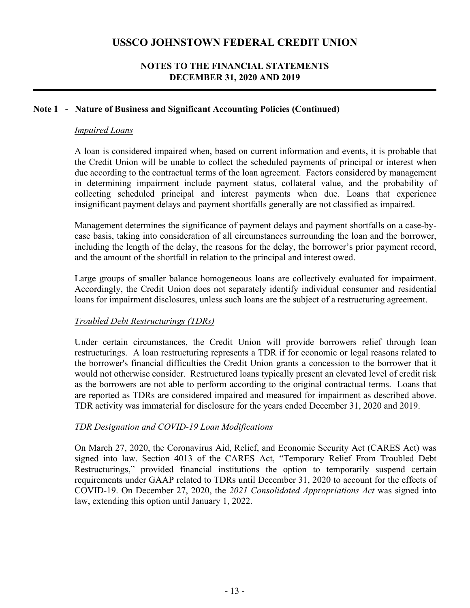## **NOTES TO THE FINANCIAL STATEMENTS DECEMBER 31, 2020 AND 2019**

### **Note 1 - Nature of Business and Significant Accounting Policies (Continued)**

#### *Impaired Loans*

A loan is considered impaired when, based on current information and events, it is probable that the Credit Union will be unable to collect the scheduled payments of principal or interest when due according to the contractual terms of the loan agreement. Factors considered by management in determining impairment include payment status, collateral value, and the probability of collecting scheduled principal and interest payments when due. Loans that experience insignificant payment delays and payment shortfalls generally are not classified as impaired.

Management determines the significance of payment delays and payment shortfalls on a case-bycase basis, taking into consideration of all circumstances surrounding the loan and the borrower, including the length of the delay, the reasons for the delay, the borrower's prior payment record, and the amount of the shortfall in relation to the principal and interest owed.

Large groups of smaller balance homogeneous loans are collectively evaluated for impairment. Accordingly, the Credit Union does not separately identify individual consumer and residential loans for impairment disclosures, unless such loans are the subject of a restructuring agreement.

#### *Troubled Debt Restructurings (TDRs)*

Under certain circumstances, the Credit Union will provide borrowers relief through loan restructurings. A loan restructuring represents a TDR if for economic or legal reasons related to the borrower's financial difficulties the Credit Union grants a concession to the borrower that it would not otherwise consider. Restructured loans typically present an elevated level of credit risk as the borrowers are not able to perform according to the original contractual terms. Loans that are reported as TDRs are considered impaired and measured for impairment as described above. TDR activity was immaterial for disclosure for the years ended December 31, 2020 and 2019.

### *TDR Designation and COVID-19 Loan Modifications*

On March 27, 2020, the Coronavirus Aid, Relief, and Economic Security Act (CARES Act) was signed into law. Section 4013 of the CARES Act, "Temporary Relief From Troubled Debt Restructurings," provided financial institutions the option to temporarily suspend certain requirements under GAAP related to TDRs until December 31, 2020 to account for the effects of COVID-19. On December 27, 2020, the *2021 Consolidated Appropriations Act* was signed into law, extending this option until January 1, 2022.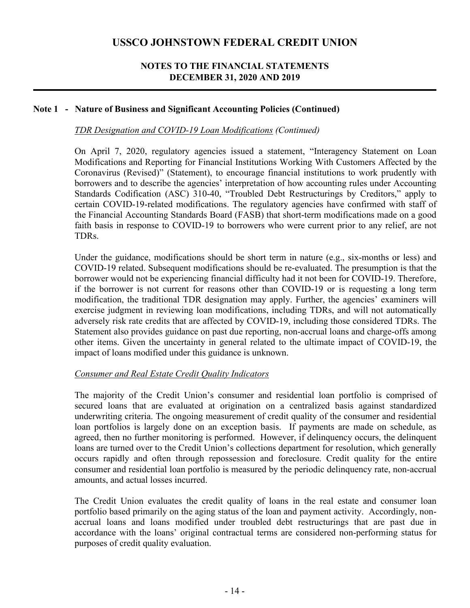### **NOTES TO THE FINANCIAL STATEMENTS DECEMBER 31, 2020 AND 2019**

#### **Note 1 - Nature of Business and Significant Accounting Policies (Continued)**

#### *TDR Designation and COVID-19 Loan Modifications (Continued)*

On April 7, 2020, regulatory agencies issued a statement, "Interagency Statement on Loan Modifications and Reporting for Financial Institutions Working With Customers Affected by the Coronavirus (Revised)" (Statement), to encourage financial institutions to work prudently with borrowers and to describe the agencies' interpretation of how accounting rules under Accounting Standards Codification (ASC) 310-40, "Troubled Debt Restructurings by Creditors," apply to certain COVID-19-related modifications. The regulatory agencies have confirmed with staff of the Financial Accounting Standards Board (FASB) that short-term modifications made on a good faith basis in response to COVID-19 to borrowers who were current prior to any relief, are not TDRs.

Under the guidance, modifications should be short term in nature (e.g., six-months or less) and COVID-19 related. Subsequent modifications should be re-evaluated. The presumption is that the borrower would not be experiencing financial difficulty had it not been for COVID-19. Therefore, if the borrower is not current for reasons other than COVID-19 or is requesting a long term modification, the traditional TDR designation may apply. Further, the agencies' examiners will exercise judgment in reviewing loan modifications, including TDRs, and will not automatically adversely risk rate credits that are affected by COVID-19, including those considered TDRs. The Statement also provides guidance on past due reporting, non-accrual loans and charge-offs among other items. Given the uncertainty in general related to the ultimate impact of COVID-19, the impact of loans modified under this guidance is unknown.

#### *Consumer and Real Estate Credit Quality Indicators*

The majority of the Credit Union's consumer and residential loan portfolio is comprised of secured loans that are evaluated at origination on a centralized basis against standardized underwriting criteria. The ongoing measurement of credit quality of the consumer and residential loan portfolios is largely done on an exception basis. If payments are made on schedule, as agreed, then no further monitoring is performed. However, if delinquency occurs, the delinquent loans are turned over to the Credit Union's collections department for resolution, which generally occurs rapidly and often through repossession and foreclosure. Credit quality for the entire consumer and residential loan portfolio is measured by the periodic delinquency rate, non-accrual amounts, and actual losses incurred.

The Credit Union evaluates the credit quality of loans in the real estate and consumer loan portfolio based primarily on the aging status of the loan and payment activity. Accordingly, nonaccrual loans and loans modified under troubled debt restructurings that are past due in accordance with the loans' original contractual terms are considered non-performing status for purposes of credit quality evaluation.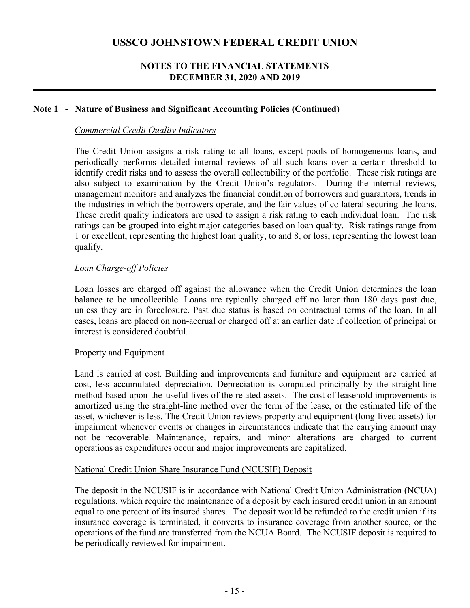### **NOTES TO THE FINANCIAL STATEMENTS DECEMBER 31, 2020 AND 2019**

### **Note 1 - Nature of Business and Significant Accounting Policies (Continued)**

### *Commercial Credit Quality Indicators*

The Credit Union assigns a risk rating to all loans, except pools of homogeneous loans, and periodically performs detailed internal reviews of all such loans over a certain threshold to identify credit risks and to assess the overall collectability of the portfolio. These risk ratings are also subject to examination by the Credit Union's regulators. During the internal reviews, management monitors and analyzes the financial condition of borrowers and guarantors, trends in the industries in which the borrowers operate, and the fair values of collateral securing the loans. These credit quality indicators are used to assign a risk rating to each individual loan. The risk ratings can be grouped into eight major categories based on loan quality. Risk ratings range from 1 or excellent, representing the highest loan quality, to and 8, or loss, representing the lowest loan qualify.

### *Loan Charge-off Policies*

Loan losses are charged off against the allowance when the Credit Union determines the loan balance to be uncollectible. Loans are typically charged off no later than 180 days past due, unless they are in foreclosure. Past due status is based on contractual terms of the loan. In all cases, loans are placed on non-accrual or charged off at an earlier date if collection of principal or interest is considered doubtful.

#### Property and Equipment

Land is carried at cost. Building and improvements and furniture and equipment are carried at cost, less accumulated depreciation. Depreciation is computed principally by the straight-line method based upon the useful lives of the related assets. The cost of leasehold improvements is amortized using the straight-line method over the term of the lease, or the estimated life of the asset, whichever is less. The Credit Union reviews property and equipment (long-lived assets) for impairment whenever events or changes in circumstances indicate that the carrying amount may not be recoverable. Maintenance, repairs, and minor alterations are charged to current operations as expenditures occur and major improvements are capitalized.

#### National Credit Union Share Insurance Fund (NCUSIF) Deposit

The deposit in the NCUSIF is in accordance with National Credit Union Administration (NCUA) regulations, which require the maintenance of a deposit by each insured credit union in an amount equal to one percent of its insured shares. The deposit would be refunded to the credit union if its insurance coverage is terminated, it converts to insurance coverage from another source, or the operations of the fund are transferred from the NCUA Board. The NCUSIF deposit is required to be periodically reviewed for impairment.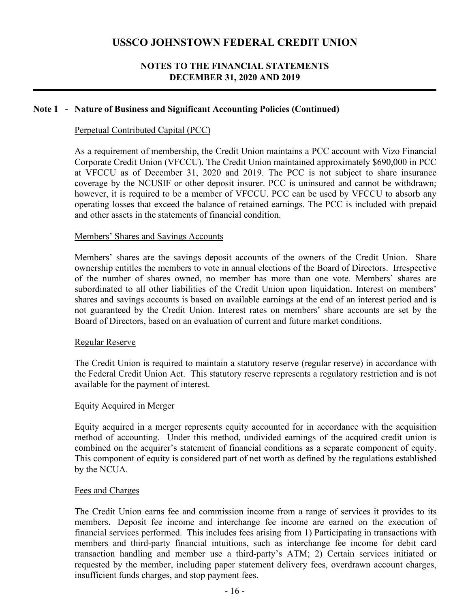### **NOTES TO THE FINANCIAL STATEMENTS DECEMBER 31, 2020 AND 2019**

#### **Note 1 - Nature of Business and Significant Accounting Policies (Continued)**

#### Perpetual Contributed Capital (PCC)

As a requirement of membership, the Credit Union maintains a PCC account with Vizo Financial Corporate Credit Union (VFCCU). The Credit Union maintained approximately \$690,000 in PCC at VFCCU as of December 31, 2020 and 2019. The PCC is not subject to share insurance coverage by the NCUSIF or other deposit insurer. PCC is uninsured and cannot be withdrawn; however, it is required to be a member of VFCCU. PCC can be used by VFCCU to absorb any operating losses that exceed the balance of retained earnings. The PCC is included with prepaid and other assets in the statements of financial condition.

#### Members' Shares and Savings Accounts

Members' shares are the savings deposit accounts of the owners of the Credit Union. Share ownership entitles the members to vote in annual elections of the Board of Directors. Irrespective of the number of shares owned, no member has more than one vote. Members' shares are subordinated to all other liabilities of the Credit Union upon liquidation. Interest on members' shares and savings accounts is based on available earnings at the end of an interest period and is not guaranteed by the Credit Union. Interest rates on members' share accounts are set by the Board of Directors, based on an evaluation of current and future market conditions.

#### Regular Reserve

The Credit Union is required to maintain a statutory reserve (regular reserve) in accordance with the Federal Credit Union Act. This statutory reserve represents a regulatory restriction and is not available for the payment of interest.

#### Equity Acquired in Merger

Equity acquired in a merger represents equity accounted for in accordance with the acquisition method of accounting. Under this method, undivided earnings of the acquired credit union is combined on the acquirer's statement of financial conditions as a separate component of equity. This component of equity is considered part of net worth as defined by the regulations established by the NCUA.

#### Fees and Charges

The Credit Union earns fee and commission income from a range of services it provides to its members. Deposit fee income and interchange fee income are earned on the execution of financial services performed. This includes fees arising from 1) Participating in transactions with members and third-party financial intuitions, such as interchange fee income for debit card transaction handling and member use a third-party's ATM; 2) Certain services initiated or requested by the member, including paper statement delivery fees, overdrawn account charges, insufficient funds charges, and stop payment fees.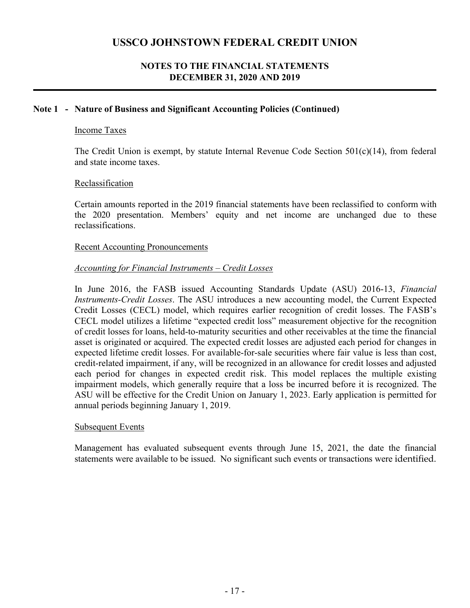## **NOTES TO THE FINANCIAL STATEMENTS DECEMBER 31, 2020 AND 2019**

#### **Note 1 - Nature of Business and Significant Accounting Policies (Continued)**

#### Income Taxes

The Credit Union is exempt, by statute Internal Revenue Code Section 501(c)(14), from federal and state income taxes.

#### Reclassification

Certain amounts reported in the 2019 financial statements have been reclassified to conform with the 2020 presentation. Members' equity and net income are unchanged due to these reclassifications.

#### Recent Accounting Pronouncements

#### *Accounting for Financial Instruments – Credit Losses*

In June 2016, the FASB issued Accounting Standards Update (ASU) 2016-13, *Financial Instruments-Credit Losses*. The ASU introduces a new accounting model, the Current Expected Credit Losses (CECL) model, which requires earlier recognition of credit losses. The FASB's CECL model utilizes a lifetime "expected credit loss" measurement objective for the recognition of credit losses for loans, held-to-maturity securities and other receivables at the time the financial asset is originated or acquired. The expected credit losses are adjusted each period for changes in expected lifetime credit losses. For available-for-sale securities where fair value is less than cost, credit-related impairment, if any, will be recognized in an allowance for credit losses and adjusted each period for changes in expected credit risk. This model replaces the multiple existing impairment models, which generally require that a loss be incurred before it is recognized. The ASU will be effective for the Credit Union on January 1, 2023. Early application is permitted for annual periods beginning January 1, 2019.

#### Subsequent Events

Management has evaluated subsequent events through June 15, 2021, the date the financial statements were available to be issued. No significant such events or transactions were identified.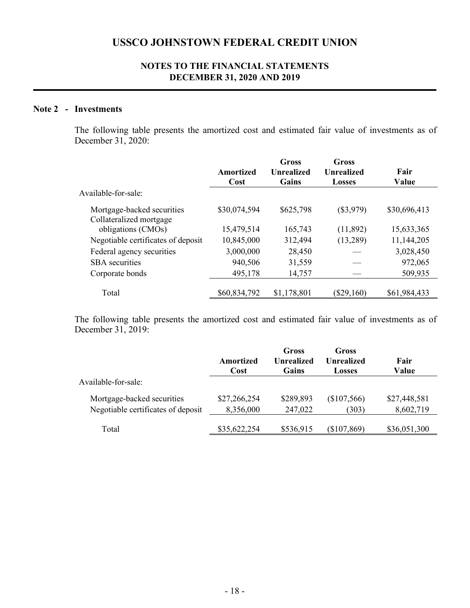## **NOTES TO THE FINANCIAL STATEMENTS DECEMBER 31, 2020 AND 2019**

#### **Note 2 - Investments**

The following table presents the amortized cost and estimated fair value of investments as of December 31, 2020:

|                                                       | Amortized<br>Cost | <b>Gross</b><br><b>Unrealized</b><br>Gains | <b>Gross</b><br><b>Unrealized</b><br><b>Losses</b> | Fair<br>Value |
|-------------------------------------------------------|-------------------|--------------------------------------------|----------------------------------------------------|---------------|
| Available-for-sale:                                   |                   |                                            |                                                    |               |
| Mortgage-backed securities<br>Collateralized mortgage | \$30,074,594      | \$625,798                                  | $(\$3,979)$                                        | \$30,696,413  |
| obligations (CMOs)                                    | 15,479,514        | 165,743                                    | (11,892)                                           | 15,633,365    |
| Negotiable certificates of deposit                    | 10,845,000        | 312,494                                    | (13,289)                                           | 11,144,205    |
| Federal agency securities                             | 3,000,000         | 28,450                                     |                                                    | 3,028,450     |
| <b>SBA</b> securities                                 | 940,506           | 31,559                                     |                                                    | 972,065       |
| Corporate bonds                                       | 495,178           | 14,757                                     |                                                    | 509,935       |
| Total                                                 | \$60,834,792      | \$1,178,801                                | (\$29,160)                                         | \$61,984,433  |

The following table presents the amortized cost and estimated fair value of investments as of December 31, 2019:

|                                    | Amortized<br>Cost | Gross<br>Unrealized<br>Gains | Gross<br><b>Unrealized</b><br><b>Losses</b> | Fair<br>Value |
|------------------------------------|-------------------|------------------------------|---------------------------------------------|---------------|
| Available-for-sale:                |                   |                              |                                             |               |
| Mortgage-backed securities         | \$27,266,254      | \$289,893                    | (\$107,566)                                 | \$27,448,581  |
| Negotiable certificates of deposit | 8,356,000         | 247,022                      | (303)                                       | 8,602,719     |
| Total                              | \$35,622,254      | \$536,915                    | (\$107,869)                                 | \$36,051,300  |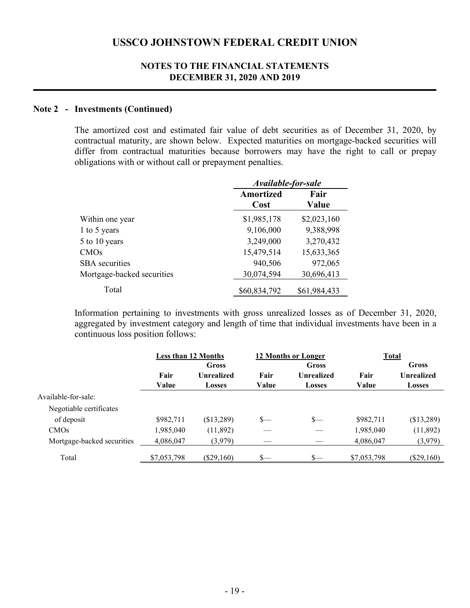### **NOTES TO THE FINANCIAL STATEMENTS DECEMBER 31, 2020 AND 2019**

#### **Note 2 - Investments (Continued)**

The amortized cost and estimated fair value of debt securities as of December 31, 2020, by contractual maturity, are shown below. Expected maturities on mortgage-backed securities will differ from contractual maturities because borrowers may have the right to call or prepay obligations with or without call or prepayment penalties.

|                            | Available-for-sale       |               |  |
|----------------------------|--------------------------|---------------|--|
|                            | <b>Amortized</b><br>Cost | Fair<br>Value |  |
| Within one year            | \$1,985,178              | \$2,023,160   |  |
| 1 to 5 years               | 9,106,000                | 9,388,998     |  |
| 5 to 10 years              | 3,249,000                | 3,270,432     |  |
| CMOs                       | 15,479,514               | 15,633,365    |  |
| <b>SBA</b> securities      | 940,506                  | 972,065       |  |
| Mortgage-backed securities | 30,074,594               | 30,696,413    |  |
| Total                      | \$60,834,792             | \$61,984,433  |  |

Information pertaining to investments with gross unrealized losses as of December 31, 2020, aggregated by investment category and length of time that individual investments have been in a continuous loss position follows:

|                            | <b>Less than 12 Months</b> |               |         | 12 Months or Longer |             | <b>Total</b>      |  |
|----------------------------|----------------------------|---------------|---------|---------------------|-------------|-------------------|--|
|                            |                            | <b>Gross</b>  |         | Gross               |             | <b>Gross</b>      |  |
|                            | Fair                       | Unrealized    | Fair    | <b>Unrealized</b>   | Fair        | <b>Unrealized</b> |  |
|                            | Value                      | <b>Losses</b> | Value   | <b>Losses</b>       | Value       | <b>Losses</b>     |  |
| Available-for-sale:        |                            |               |         |                     |             |                   |  |
| Negotiable certificates    |                            |               |         |                     |             |                   |  |
| of deposit                 | \$982,711                  | (\$13,289)    | $_{s-}$ | $s-$                | \$982,711   | (\$13,289)        |  |
| CMOs                       | 1,985,040                  | (11,892)      |         |                     | 1,985,040   | (11,892)          |  |
| Mortgage-backed securities | 4,086,047                  | (3,979)       | __      |                     | 4,086,047   | (3,979)           |  |
| Total                      | \$7,053,798                | $(\$29,160)$  | $S-$    | $S-$                | \$7,053,798 | $(\$29,160)$      |  |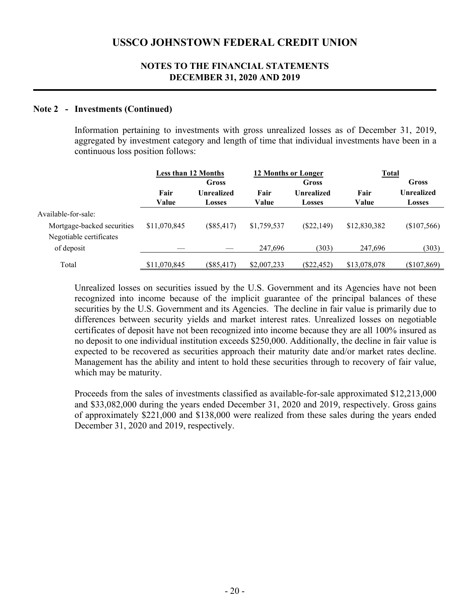### **NOTES TO THE FINANCIAL STATEMENTS DECEMBER 31, 2020 AND 2019**

#### **Note 2 - Investments (Continued)**

Information pertaining to investments with gross unrealized losses as of December 31, 2019, aggregated by investment category and length of time that individual investments have been in a continuous loss position follows:

|                            | <b>Less than 12 Months</b> |                   | <b>12 Months or Longer</b> |                   | <b>Total</b> |             |
|----------------------------|----------------------------|-------------------|----------------------------|-------------------|--------------|-------------|
|                            |                            | Gross             |                            | Gross             |              | Gross       |
|                            | Fair                       | <b>Unrealized</b> | Fair                       | <b>Unrealized</b> | Fair         | Unrealized  |
|                            | Value                      | <b>Losses</b>     | Value                      | <b>Losses</b>     | Value        | Losses      |
| Available-for-sale:        |                            |                   |                            |                   |              |             |
| Mortgage-backed securities | \$11,070,845               | $(\$85,417)$      | \$1,759,537                | $(\$22,149)$      | \$12,830,382 | (\$107,566) |
| Negotiable certificates    |                            |                   |                            |                   |              |             |
| of deposit                 |                            |                   | 247,696                    | (303)             | 247,696      | (303)       |
| Total                      | \$11,070,845               | $(\$85,417)$      | \$2,007,233                | $(\$22,452)$      | \$13,078,078 | (\$107,869) |

Unrealized losses on securities issued by the U.S. Government and its Agencies have not been recognized into income because of the implicit guarantee of the principal balances of these securities by the U.S. Government and its Agencies. The decline in fair value is primarily due to differences between security yields and market interest rates. Unrealized losses on negotiable certificates of deposit have not been recognized into income because they are all 100% insured as no deposit to one individual institution exceeds \$250,000. Additionally, the decline in fair value is expected to be recovered as securities approach their maturity date and/or market rates decline. Management has the ability and intent to hold these securities through to recovery of fair value, which may be maturity.

Proceeds from the sales of investments classified as available-for-sale approximated \$12,213,000 and \$33,082,000 during the years ended December 31, 2020 and 2019, respectively. Gross gains of approximately \$221,000 and \$138,000 were realized from these sales during the years ended December 31, 2020 and 2019, respectively.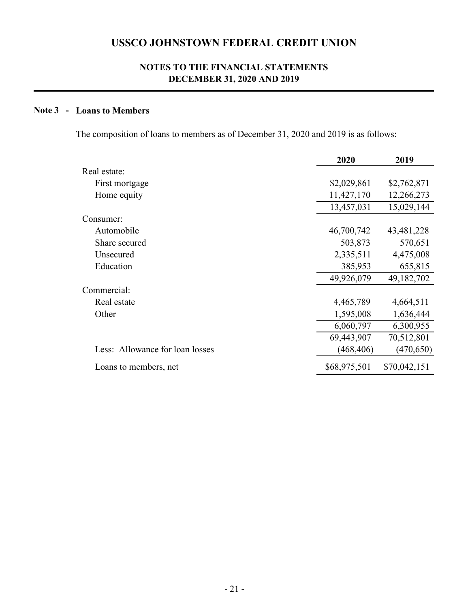## **NOTES TO THE FINANCIAL STATEMENTS DECEMBER 31, 2020 AND 2019**

## **Note 3 - Loans to Members**

The composition of loans to members as of December 31, 2020 and 2019 is as follows:

|                                 | 2020         | 2019         |
|---------------------------------|--------------|--------------|
| Real estate:                    |              |              |
| First mortgage                  | \$2,029,861  | \$2,762,871  |
| Home equity                     | 11,427,170   | 12,266,273   |
|                                 | 13,457,031   | 15,029,144   |
| Consumer:                       |              |              |
| Automobile                      | 46,700,742   | 43, 481, 228 |
| Share secured                   | 503,873      | 570,651      |
| Unsecured                       | 2,335,511    | 4,475,008    |
| Education                       | 385,953      | 655,815      |
|                                 | 49,926,079   | 49,182,702   |
| Commercial:                     |              |              |
| Real estate                     | 4,465,789    | 4,664,511    |
| Other                           | 1,595,008    | 1,636,444    |
|                                 | 6,060,797    | 6,300,955    |
|                                 | 69,443,907   | 70,512,801   |
| Less: Allowance for loan losses | (468, 406)   | (470, 650)   |
| Loans to members, net           | \$68,975,501 | \$70,042,151 |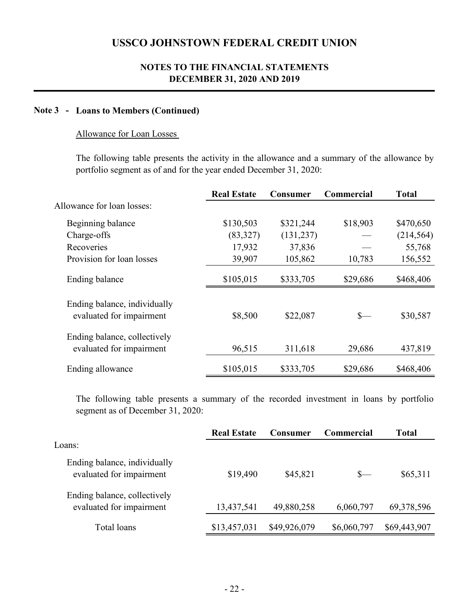## **NOTES TO THE FINANCIAL STATEMENTS DECEMBER 31, 2020 AND 2019**

### **Note 3 - Loans to Members (Continued)**

### Allowance for Loan Losses

The following table presents the activity in the allowance and a summary of the allowance by portfolio segment as of and for the year ended December 31, 2020:

|                                                          | <b>Real Estate</b> | Consumer   | <b>Commercial</b> | <b>Total</b> |
|----------------------------------------------------------|--------------------|------------|-------------------|--------------|
| Allowance for loan losses:                               |                    |            |                   |              |
| Beginning balance                                        | \$130,503          | \$321,244  | \$18,903          | \$470,650    |
| Charge-offs                                              | (83, 327)          | (131, 237) |                   | (214, 564)   |
| Recoveries                                               | 17,932             | 37,836     |                   | 55,768       |
| Provision for loan losses                                | 39,907             | 105,862    | 10,783            | 156,552      |
| Ending balance                                           | \$105,015          | \$333,705  | \$29,686          | \$468,406    |
| Ending balance, individually<br>evaluated for impairment | \$8,500            | \$22,087   |                   | \$30,587     |
| Ending balance, collectively<br>evaluated for impairment | 96,515             | 311,618    | 29,686            | 437,819      |
| Ending allowance                                         | \$105,015          | \$333,705  | \$29,686          | \$468,406    |

The following table presents a summary of the recorded investment in loans by portfolio segment as of December 31, 2020:

|                                                          | <b>Real Estate</b> | <b>Consumer</b> | <b>Commercial</b> | <b>Total</b> |
|----------------------------------------------------------|--------------------|-----------------|-------------------|--------------|
| Loans:                                                   |                    |                 |                   |              |
| Ending balance, individually<br>evaluated for impairment | \$19,490           | \$45,821        |                   | \$65,311     |
| Ending balance, collectively<br>evaluated for impairment | 13,437,541         | 49,880,258      | 6,060,797         | 69,378,596   |
| Total loans                                              | \$13,457,031       | \$49,926,079    | \$6,060,797       | \$69,443,907 |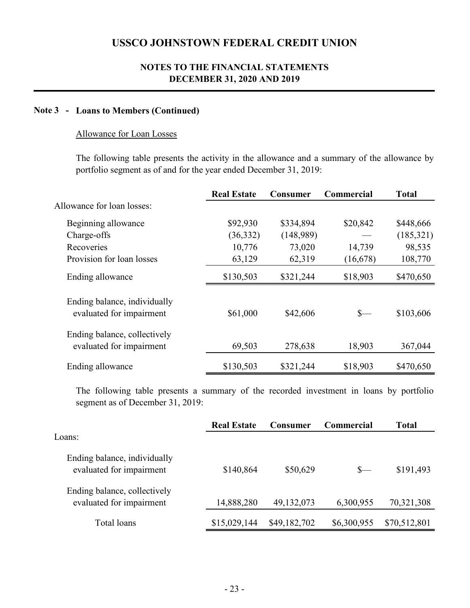## **NOTES TO THE FINANCIAL STATEMENTS DECEMBER 31, 2020 AND 2019**

### **Note 3 - Loans to Members (Continued)**

### Allowance for Loan Losses

The following table presents the activity in the allowance and a summary of the allowance by portfolio segment as of and for the year ended December 31, 2019:

|                                                          | <b>Real Estate</b> | Consumer  | <b>Commercial</b> | <b>Total</b> |
|----------------------------------------------------------|--------------------|-----------|-------------------|--------------|
| Allowance for loan losses:                               |                    |           |                   |              |
| Beginning allowance                                      | \$92,930           | \$334,894 | \$20,842          | \$448,666    |
| Charge-offs                                              | (36, 332)          | (148,989) |                   | (185, 321)   |
| Recoveries                                               | 10,776             | 73,020    | 14,739            | 98,535       |
| Provision for loan losses                                | 63,129             | 62,319    | (16, 678)         | 108,770      |
| Ending allowance                                         | \$130,503          | \$321,244 | \$18,903          | \$470,650    |
| Ending balance, individually<br>evaluated for impairment | \$61,000           | \$42,606  | $S-$              | \$103,606    |
| Ending balance, collectively<br>evaluated for impairment | 69,503             | 278,638   | 18,903            | 367,044      |
| Ending allowance                                         | \$130,503          | \$321,244 | \$18,903          | \$470,650    |

The following table presents a summary of the recorded investment in loans by portfolio segment as of December 31, 2019:

|                                                          | <b>Real Estate</b> | Consumer     | <b>Commercial</b> | <b>Total</b> |
|----------------------------------------------------------|--------------------|--------------|-------------------|--------------|
| Loans:                                                   |                    |              |                   |              |
| Ending balance, individually<br>evaluated for impairment | \$140,864          | \$50,629     | $S-$              | \$191,493    |
| Ending balance, collectively<br>evaluated for impairment | 14,888,280         | 49,132,073   | 6,300,955         | 70,321,308   |
| Total loans                                              | \$15,029,144       | \$49,182,702 | \$6,300,955       | \$70,512,801 |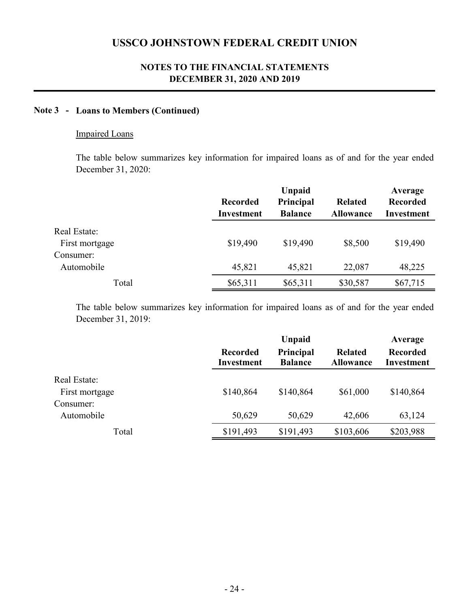## **NOTES TO THE FINANCIAL STATEMENTS DECEMBER 31, 2020 AND 2019**

### **Note 3 - Loans to Members (Continued)**

### Impaired Loans

The table below summarizes key information for impaired loans as of and for the year ended December 31, 2020:

|                | <b>Unpaid</b>     |                |                  | Average           |
|----------------|-------------------|----------------|------------------|-------------------|
|                | <b>Recorded</b>   | Principal      | <b>Related</b>   | <b>Recorded</b>   |
|                | <b>Investment</b> | <b>Balance</b> | <b>Allowance</b> | <b>Investment</b> |
| Real Estate:   |                   |                |                  |                   |
| First mortgage | \$19,490          | \$19,490       | \$8,500          | \$19,490          |
| Consumer:      |                   |                |                  |                   |
| Automobile     | 45,821            | 45,821         | 22,087           | 48,225            |
| Total          | \$65,311          | \$65,311       | \$30,587         | \$67,715          |

The table below summarizes key information for impaired loans as of and for the year ended December 31, 2019:

|                | <b>Unpaid</b>                 |                             |                                    | Average                              |
|----------------|-------------------------------|-----------------------------|------------------------------------|--------------------------------------|
|                | Recorded<br><b>Investment</b> | Principal<br><b>Balance</b> | <b>Related</b><br><b>Allowance</b> | <b>Recorded</b><br><b>Investment</b> |
| Real Estate:   |                               |                             |                                    |                                      |
| First mortgage | \$140,864                     | \$140,864                   | \$61,000                           | \$140,864                            |
| Consumer:      |                               |                             |                                    |                                      |
| Automobile     | 50,629                        | 50,629                      | 42,606                             | 63,124                               |
| Total          | \$191,493                     | \$191,493                   | \$103,606                          | \$203,988                            |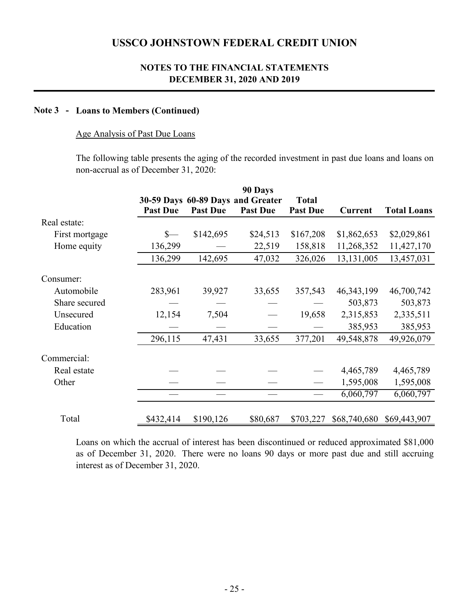### **NOTES TO THE FINANCIAL STATEMENTS DECEMBER 31, 2020 AND 2019**

### **Note 3 - Loans to Members (Continued)**

### Age Analysis of Past Due Loans

The following table presents the aging of the recorded investment in past due loans and loans on non-accrual as of December 31, 2020:

|                |                 |                 | 90 Days                           |                 |                |                    |
|----------------|-----------------|-----------------|-----------------------------------|-----------------|----------------|--------------------|
|                |                 |                 | 30-59 Days 60-89 Days and Greater | <b>Total</b>    |                |                    |
|                | <b>Past Due</b> | <b>Past Due</b> | <b>Past Due</b>                   | <b>Past Due</b> | <b>Current</b> | <b>Total Loans</b> |
| Real estate:   |                 |                 |                                   |                 |                |                    |
| First mortgage | $\frac{\ }{\ }$ | \$142,695       | \$24,513                          | \$167,208       | \$1,862,653    | \$2,029,861        |
| Home equity    | 136,299         |                 | 22,519                            | 158,818         | 11,268,352     | 11,427,170         |
|                | 136,299         | 142,695         | 47,032                            | 326,026         | 13,131,005     | 13,457,031         |
| Consumer:      |                 |                 |                                   |                 |                |                    |
| Automobile     | 283,961         | 39,927          | 33,655                            | 357,543         | 46, 343, 199   | 46,700,742         |
| Share secured  |                 |                 |                                   |                 | 503,873        | 503,873            |
| Unsecured      | 12,154          | 7,504           |                                   | 19,658          | 2,315,853      | 2,335,511          |
| Education      |                 |                 |                                   |                 | 385,953        | 385,953            |
|                | 296,115         | 47,431          | 33,655                            | 377,201         | 49,548,878     | 49,926,079         |
| Commercial:    |                 |                 |                                   |                 |                |                    |
| Real estate    |                 |                 |                                   |                 | 4,465,789      | 4,465,789          |
| Other          |                 |                 |                                   |                 | 1,595,008      | 1,595,008          |
|                |                 |                 |                                   |                 | 6,060,797      | 6,060,797          |
|                |                 |                 |                                   |                 |                |                    |
| Total          | \$432,414       | \$190,126       | \$80,687                          | \$703,227       | \$68,740,680   | \$69,443,907       |

Loans on which the accrual of interest has been discontinued or reduced approximated \$81,000 as of December 31, 2020. There were no loans 90 days or more past due and still accruing interest as of December 31, 2020.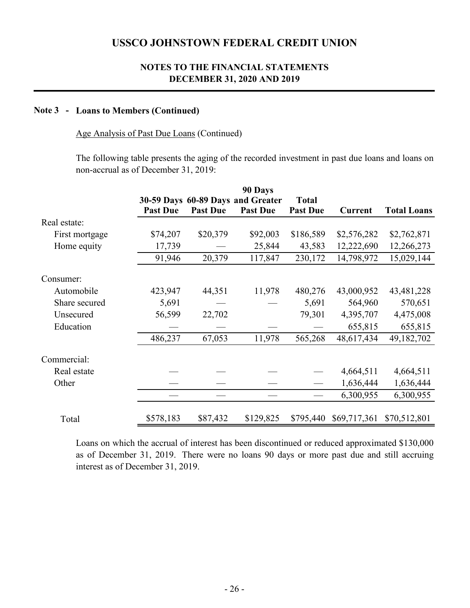## **DECEMBER 31, 2020 AND 2019 NOTES TO THE FINANCIAL STATEMENTS**

### **Note 3 - Loans to Members (Continued)**

### Age Analysis of Past Due Loans (Continued)

The following table presents the aging of the recorded investment in past due loans and loans on non-accrual as of December 31, 2019:

|                |                 |                 | 90 Days                                              |                                 |                |                    |
|----------------|-----------------|-----------------|------------------------------------------------------|---------------------------------|----------------|--------------------|
|                | <b>Past Due</b> | <b>Past Due</b> | 30-59 Days 60-89 Days and Greater<br><b>Past Due</b> | <b>Total</b><br><b>Past Due</b> | <b>Current</b> | <b>Total Loans</b> |
| Real estate:   |                 |                 |                                                      |                                 |                |                    |
| First mortgage | \$74,207        | \$20,379        | \$92,003                                             | \$186,589                       | \$2,576,282    | \$2,762,871        |
| Home equity    | 17,739          |                 | 25,844                                               | 43,583                          | 12,222,690     | 12,266,273         |
|                | 91,946          | 20,379          | 117,847                                              | 230,172                         | 14,798,972     | 15,029,144         |
| Consumer:      |                 |                 |                                                      |                                 |                |                    |
| Automobile     | 423,947         | 44,351          | 11,978                                               | 480,276                         | 43,000,952     | 43, 481, 228       |
| Share secured  | 5,691           |                 |                                                      | 5,691                           | 564,960        | 570,651            |
| Unsecured      | 56,599          | 22,702          |                                                      | 79,301                          | 4,395,707      | 4,475,008          |
| Education      |                 |                 |                                                      |                                 | 655,815        | 655,815            |
|                | 486,237         | 67,053          | 11,978                                               | 565,268                         | 48,617,434     | 49,182,702         |
| Commercial:    |                 |                 |                                                      |                                 |                |                    |
| Real estate    |                 |                 |                                                      |                                 | 4,664,511      | 4,664,511          |
| Other          |                 |                 |                                                      |                                 | 1,636,444      | 1,636,444          |
|                |                 |                 |                                                      |                                 | 6,300,955      | 6,300,955          |
| Total          | \$578,183       | \$87,432        | \$129,825                                            | \$795,440                       | \$69,717,361   | \$70,512,801       |

Loans on which the accrual of interest has been discontinued or reduced approximated \$130,000 as of December 31, 2019. There were no loans 90 days or more past due and still accruing interest as of December 31, 2019.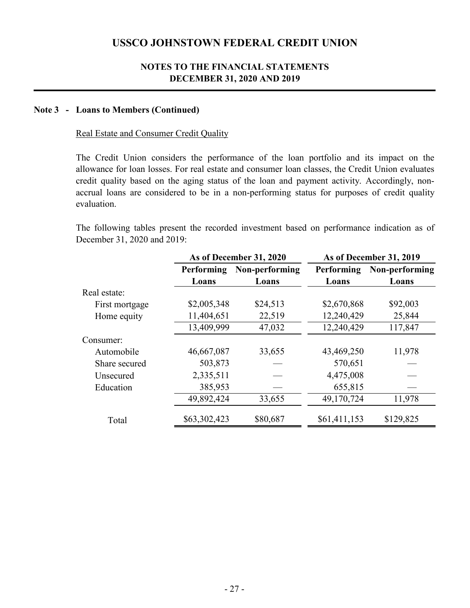## **NOTES TO THE FINANCIAL STATEMENTS DECEMBER 31, 2020 AND 2019**

#### **Note 3 - Loans to Members (Continued)**

#### Real Estate and Consumer Credit Quality

The Credit Union considers the performance of the loan portfolio and its impact on the allowance for loan losses. For real estate and consumer loan classes, the Credit Union evaluates credit quality based on the aging status of the loan and payment activity. Accordingly, nonaccrual loans are considered to be in a non-performing status for purposes of credit quality evaluation.

The following tables present the recorded investment based on performance indication as of December 31, 2020 and 2019:

|                |              | As of December 31, 2020   |                   | As of December 31, 2019 |  |
|----------------|--------------|---------------------------|-------------------|-------------------------|--|
|                |              | Performing Non-performing | <b>Performing</b> | Non-performing          |  |
|                | Loans        | Loans                     | Loans             | Loans                   |  |
| Real estate:   |              |                           |                   |                         |  |
| First mortgage | \$2,005,348  | \$24,513                  | \$2,670,868       | \$92,003                |  |
| Home equity    | 11,404,651   | 22,519                    | 12,240,429        | 25,844                  |  |
|                | 13,409,999   | 47,032                    | 12,240,429        | 117,847                 |  |
| Consumer:      |              |                           |                   |                         |  |
| Automobile     | 46,667,087   | 33,655                    | 43,469,250        | 11,978                  |  |
| Share secured  | 503,873      |                           | 570,651           |                         |  |
| Unsecured      | 2,335,511    |                           | 4,475,008         |                         |  |
| Education      | 385,953      |                           | 655,815           |                         |  |
|                | 49,892,424   | 33,655                    | 49,170,724        | 11,978                  |  |
| Total          | \$63,302,423 | \$80,687                  | \$61,411,153      | \$129,825               |  |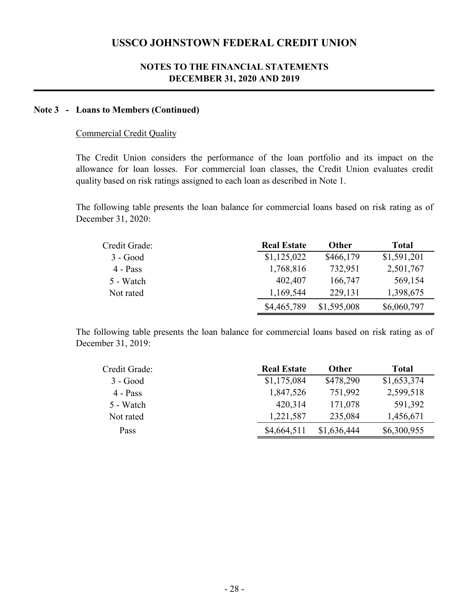### **NOTES TO THE FINANCIAL STATEMENTS DECEMBER 31, 2020 AND 2019**

#### **Note 3 - Loans to Members (Continued)**

#### Commercial Credit Quality

The Credit Union considers the performance of the loan portfolio and its impact on the allowance for loan losses. For commercial loan classes, the Credit Union evaluates credit quality based on risk ratings assigned to each loan as described in Note 1.

The following table presents the loan balance for commercial loans based on risk rating as of December 31, 2020:

| Credit Grade: | <b>Real Estate</b> | <b>Other</b> | <b>Total</b> |
|---------------|--------------------|--------------|--------------|
| $3 - Good$    | \$1,125,022        | \$466,179    | \$1,591,201  |
| $4 - Pass$    | 1,768,816          | 732,951      | 2,501,767    |
| 5 - Watch     | 402,407            | 166,747      | 569,154      |
| Not rated     | 1,169,544          | 229,131      | 1,398,675    |
|               | \$4,465,789        | \$1,595,008  | \$6,060,797  |

The following table presents the loan balance for commercial loans based on risk rating as of December 31, 2019:

| Credit Grade: | <b>Real Estate</b> | <b>Other</b> | <b>Total</b> |
|---------------|--------------------|--------------|--------------|
| $3 - Good$    | \$1,175,084        | \$478,290    | \$1,653,374  |
| $4 - Pass$    | 1,847,526          | 751,992      | 2,599,518    |
| 5 - Watch     | 420,314            | 171,078      | 591,392      |
| Not rated     | 1,221,587          | 235,084      | 1,456,671    |
| Pass          | \$4,664,511        | \$1,636,444  | \$6,300,955  |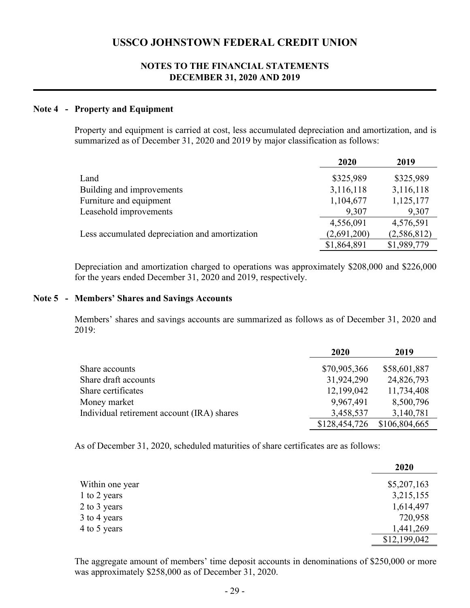### **NOTES TO THE FINANCIAL STATEMENTS DECEMBER 31, 2020 AND 2019**

#### **Note 4 - Property and Equipment**

Property and equipment is carried at cost, less accumulated depreciation and amortization, and is summarized as of December 31, 2020 and 2019 by major classification as follows:

|                                                | 2020        | 2019        |
|------------------------------------------------|-------------|-------------|
| Land                                           | \$325,989   | \$325,989   |
| Building and improvements                      | 3,116,118   | 3,116,118   |
| Furniture and equipment                        | 1,104,677   | 1,125,177   |
| Leasehold improvements                         | 9,307       | 9,307       |
|                                                | 4,556,091   | 4,576,591   |
| Less accumulated depreciation and amortization | (2,691,200) | (2,586,812) |
|                                                | \$1,864,891 | \$1,989,779 |

Depreciation and amortization charged to operations was approximately \$208,000 and \$226,000 for the years ended December 31, 2020 and 2019, respectively.

#### **Note 5 - Members' Shares and Savings Accounts**

Members' shares and savings accounts are summarized as follows as of December 31, 2020 and 2019:

|                                            | 2020          | 2019          |
|--------------------------------------------|---------------|---------------|
| Share accounts                             | \$70,905,366  | \$58,601,887  |
| Share draft accounts                       | 31,924,290    | 24,826,793    |
| Share certificates                         | 12,199,042    | 11,734,408    |
| Money market                               | 9,967,491     | 8,500,796     |
| Individual retirement account (IRA) shares | 3,458,537     | 3,140,781     |
|                                            | \$128,454,726 | \$106,804,665 |

As of December 31, 2020, scheduled maturities of share certificates are as follows:

|                 | 2020         |
|-----------------|--------------|
| Within one year | \$5,207,163  |
| 1 to 2 years    | 3,215,155    |
| 2 to 3 years    | 1,614,497    |
| 3 to 4 years    | 720,958      |
| 4 to 5 years    | 1,441,269    |
|                 | \$12,199,042 |

The aggregate amount of members' time deposit accounts in denominations of \$250,000 or more was approximately \$258,000 as of December 31, 2020.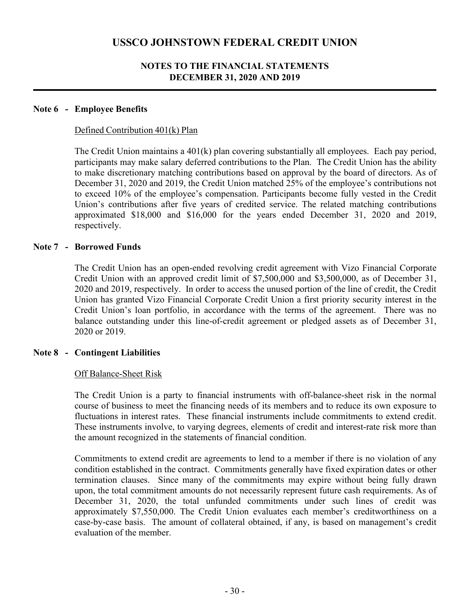## **NOTES TO THE FINANCIAL STATEMENTS DECEMBER 31, 2020 AND 2019**

#### **Note 6 - Employee Benefits**

#### Defined Contribution 401(k) Plan

The Credit Union maintains a 401(k) plan covering substantially all employees. Each pay period, participants may make salary deferred contributions to the Plan. The Credit Union has the ability to make discretionary matching contributions based on approval by the board of directors. As of December 31, 2020 and 2019, the Credit Union matched 25% of the employee's contributions not to exceed 10% of the employee's compensation. Participants become fully vested in the Credit Union's contributions after five years of credited service. The related matching contributions approximated \$18,000 and \$16,000 for the years ended December 31, 2020 and 2019, respectively.

#### **Note 7 - Borrowed Funds**

The Credit Union has an open-ended revolving credit agreement with Vizo Financial Corporate Credit Union with an approved credit limit of \$7,500,000 and \$3,500,000, as of December 31, 2020 and 2019, respectively. In order to access the unused portion of the line of credit, the Credit Union has granted Vizo Financial Corporate Credit Union a first priority security interest in the Credit Union's loan portfolio, in accordance with the terms of the agreement. There was no balance outstanding under this line-of-credit agreement or pledged assets as of December 31, 2020 or 2019.

#### **Note 8 - Contingent Liabilities**

#### Off Balance-Sheet Risk

The Credit Union is a party to financial instruments with off-balance-sheet risk in the normal course of business to meet the financing needs of its members and to reduce its own exposure to fluctuations in interest rates. These financial instruments include commitments to extend credit. These instruments involve, to varying degrees, elements of credit and interest-rate risk more than the amount recognized in the statements of financial condition.

Commitments to extend credit are agreements to lend to a member if there is no violation of any condition established in the contract. Commitments generally have fixed expiration dates or other termination clauses. Since many of the commitments may expire without being fully drawn upon, the total commitment amounts do not necessarily represent future cash requirements. As of December 31, 2020, the total unfunded commitments under such lines of credit was approximately \$7,550,000. The Credit Union evaluates each member's creditworthiness on a case-by-case basis. The amount of collateral obtained, if any, is based on management's credit evaluation of the member.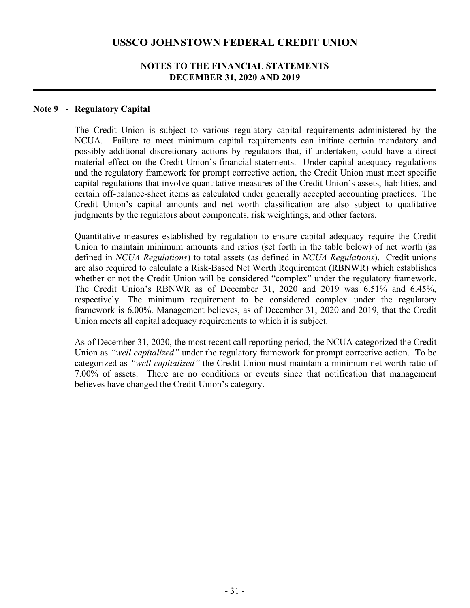### **NOTES TO THE FINANCIAL STATEMENTS DECEMBER 31, 2020 AND 2019**

#### **Note 9 - Regulatory Capital**

The Credit Union is subject to various regulatory capital requirements administered by the NCUA. Failure to meet minimum capital requirements can initiate certain mandatory and possibly additional discretionary actions by regulators that, if undertaken, could have a direct material effect on the Credit Union's financial statements. Under capital adequacy regulations and the regulatory framework for prompt corrective action, the Credit Union must meet specific capital regulations that involve quantitative measures of the Credit Union's assets, liabilities, and certain off-balance-sheet items as calculated under generally accepted accounting practices. The Credit Union's capital amounts and net worth classification are also subject to qualitative judgments by the regulators about components, risk weightings, and other factors.

Quantitative measures established by regulation to ensure capital adequacy require the Credit Union to maintain minimum amounts and ratios (set forth in the table below) of net worth (as defined in *NCUA Regulations*) to total assets (as defined in *NCUA Regulations*). Credit unions are also required to calculate a Risk-Based Net Worth Requirement (RBNWR) which establishes whether or not the Credit Union will be considered "complex" under the regulatory framework. The Credit Union's RBNWR as of December 31, 2020 and 2019 was 6.51% and 6.45%, respectively. The minimum requirement to be considered complex under the regulatory framework is 6.00%. Management believes, as of December 31, 2020 and 2019, that the Credit Union meets all capital adequacy requirements to which it is subject.

As of December 31, 2020, the most recent call reporting period, the NCUA categorized the Credit Union as *"well capitalized"* under the regulatory framework for prompt corrective action. To be categorized as *"well capitalized"* the Credit Union must maintain a minimum net worth ratio of 7.00% of assets. There are no conditions or events since that notification that management believes have changed the Credit Union's category.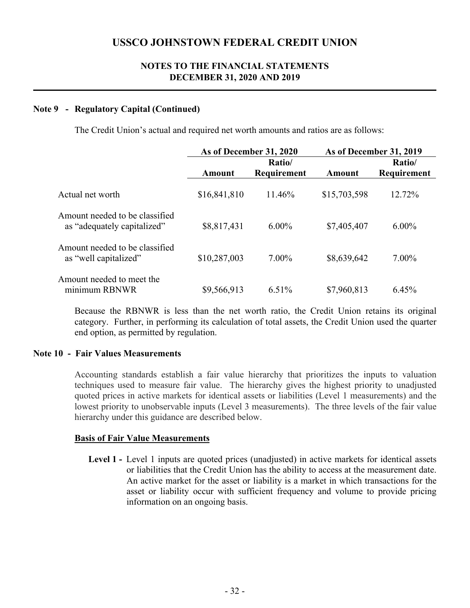### **NOTES TO THE FINANCIAL STATEMENTS DECEMBER 31, 2020 AND 2019**

#### **Note 9 - Regulatory Capital (Continued)**

The Credit Union's actual and required net worth amounts and ratios are as follows:

|                                                               | As of December 31, 2020 |             | As of December 31, 2019 |                    |
|---------------------------------------------------------------|-------------------------|-------------|-------------------------|--------------------|
|                                                               | Ratio/                  |             |                         | Ratio/             |
|                                                               | Amount                  | Requirement | Amount                  | <b>Requirement</b> |
| Actual net worth                                              | \$16,841,810            | 11.46%      | \$15,703,598            | 12.72%             |
| Amount needed to be classified<br>as "adequately capitalized" | \$8,817,431             | $6.00\%$    | \$7,405,407             | $6.00\%$           |
| Amount needed to be classified<br>as "well capitalized"       | \$10,287,003            | 7.00%       | \$8,639,642             | $7.00\%$           |
| Amount needed to meet the<br>minimum RBNWR                    | \$9,566,913             | 6.51%       | \$7,960,813             | 6.45%              |

 Because the RBNWR is less than the net worth ratio, the Credit Union retains its original category. Further, in performing its calculation of total assets, the Credit Union used the quarter end option, as permitted by regulation.

#### **Note 10 - Fair Values Measurements**

Accounting standards establish a fair value hierarchy that prioritizes the inputs to valuation techniques used to measure fair value. The hierarchy gives the highest priority to unadjusted quoted prices in active markets for identical assets or liabilities (Level 1 measurements) and the lowest priority to unobservable inputs (Level 3 measurements). The three levels of the fair value hierarchy under this guidance are described below.

#### **Basis of Fair Value Measurements**

 **Level 1 -** Level 1 inputs are quoted prices (unadjusted) in active markets for identical assets or liabilities that the Credit Union has the ability to access at the measurement date. An active market for the asset or liability is a market in which transactions for the asset or liability occur with sufficient frequency and volume to provide pricing information on an ongoing basis.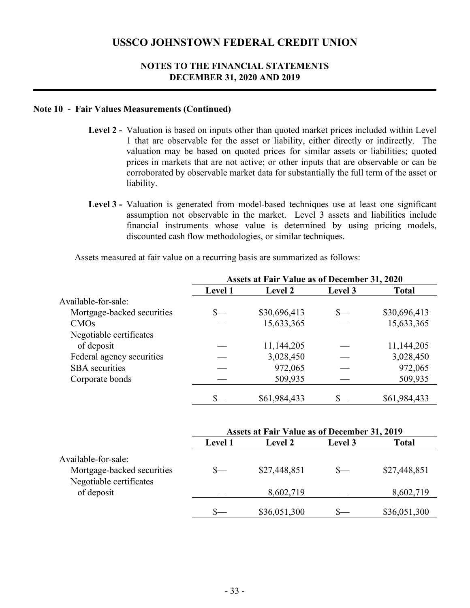### **NOTES TO THE FINANCIAL STATEMENTS DECEMBER 31, 2020 AND 2019**

#### **Note 10 - Fair Values Measurements (Continued)**

- **Level 2 -** Valuation is based on inputs other than quoted market prices included within Level 1 that are observable for the asset or liability, either directly or indirectly. The valuation may be based on quoted prices for similar assets or liabilities; quoted prices in markets that are not active; or other inputs that are observable or can be corroborated by observable market data for substantially the full term of the asset or liability.
- **Level 3 -** Valuation is generated from model-based techniques use at least one significant assumption not observable in the market. Level 3 assets and liabilities include financial instruments whose value is determined by using pricing models, discounted cash flow methodologies, or similar techniques.

Assets measured at fair value on a recurring basis are summarized as follows:

|                            | <b>Assets at Fair Value as of December 31, 2020</b> |                |         |              |
|----------------------------|-----------------------------------------------------|----------------|---------|--------------|
|                            | Level 1                                             | <b>Level 2</b> | Level 3 | <b>Total</b> |
| Available-for-sale:        |                                                     |                |         |              |
| Mortgage-backed securities |                                                     | \$30,696,413   | $S-$    | \$30,696,413 |
| CMOs                       |                                                     | 15,633,365     |         | 15,633,365   |
| Negotiable certificates    |                                                     |                |         |              |
| of deposit                 |                                                     | 11,144,205     |         | 11,144,205   |
| Federal agency securities  |                                                     | 3,028,450      |         | 3,028,450    |
| <b>SBA</b> securities      |                                                     | 972,065        |         | 972,065      |
| Corporate bonds            |                                                     | 509,935        |         | 509,935      |
|                            |                                                     | \$61,984,433   |         | \$61,984,433 |

|                            | <b>Assets at Fair Value as of December 31, 2019</b> |                |                |              |
|----------------------------|-----------------------------------------------------|----------------|----------------|--------------|
|                            | <b>Level 1</b>                                      | <b>Level 2</b> | <b>Level 3</b> | <b>Total</b> |
| Available-for-sale:        |                                                     |                |                |              |
| Mortgage-backed securities | $S-$                                                | \$27,448,851   |                | \$27,448,851 |
| Negotiable certificates    |                                                     |                |                |              |
| of deposit                 |                                                     | 8,602,719      |                | 8,602,719    |
|                            |                                                     |                |                |              |
|                            |                                                     | \$36,051,300   |                | \$36,051,300 |